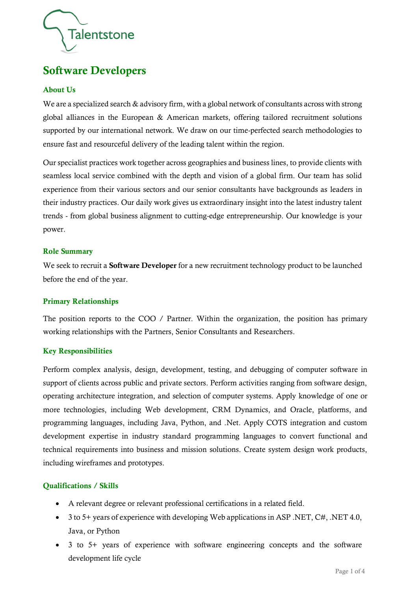

# Software Developers

#### About Us

We are a specialized search & advisory firm, with a global network of consultants across with strong global alliances in the European & American markets, offering tailored recruitment solutions supported by our international network. We draw on our time-perfected search methodologies to ensure fast and resourceful delivery of the leading talent within the region.

Our specialist practices work together across geographies and business lines, to provide clients with seamless local service combined with the depth and vision of a global firm. Our team has solid experience from their various sectors and our senior consultants have backgrounds as leaders in their industry practices. Our daily work gives us extraordinary insight into the latest industry talent trends - from global business alignment to cutting-edge entrepreneurship. Our knowledge is your power.

#### Role Summary

We seek to recruit a **Software Developer** for a new recruitment technology product to be launched before the end of the year.

#### Primary Relationships

The position reports to the COO / Partner. Within the organization, the position has primary working relationships with the Partners, Senior Consultants and Researchers.

#### Key Responsibilities

Perform complex analysis, design, development, testing, and debugging of computer software in support of clients across public and private sectors. Perform activities ranging from software design, operating architecture integration, and selection of computer systems. Apply knowledge of one or more technologies, including Web development, CRM Dynamics, and Oracle, platforms, and programming languages, including Java, Python, and .Net. Apply COTS integration and custom development expertise in industry standard programming languages to convert functional and technical requirements into business and mission solutions. Create system design work products, including wireframes and prototypes.

## Qualifications / Skills

- A relevant degree or relevant professional certifications in a related field.
- 3 to 5+ years of experience with developing Web applications in ASP .NET, C#, .NET 4.0, Java, or Python
- 3 to 5+ years of experience with software engineering concepts and the software development life cycle